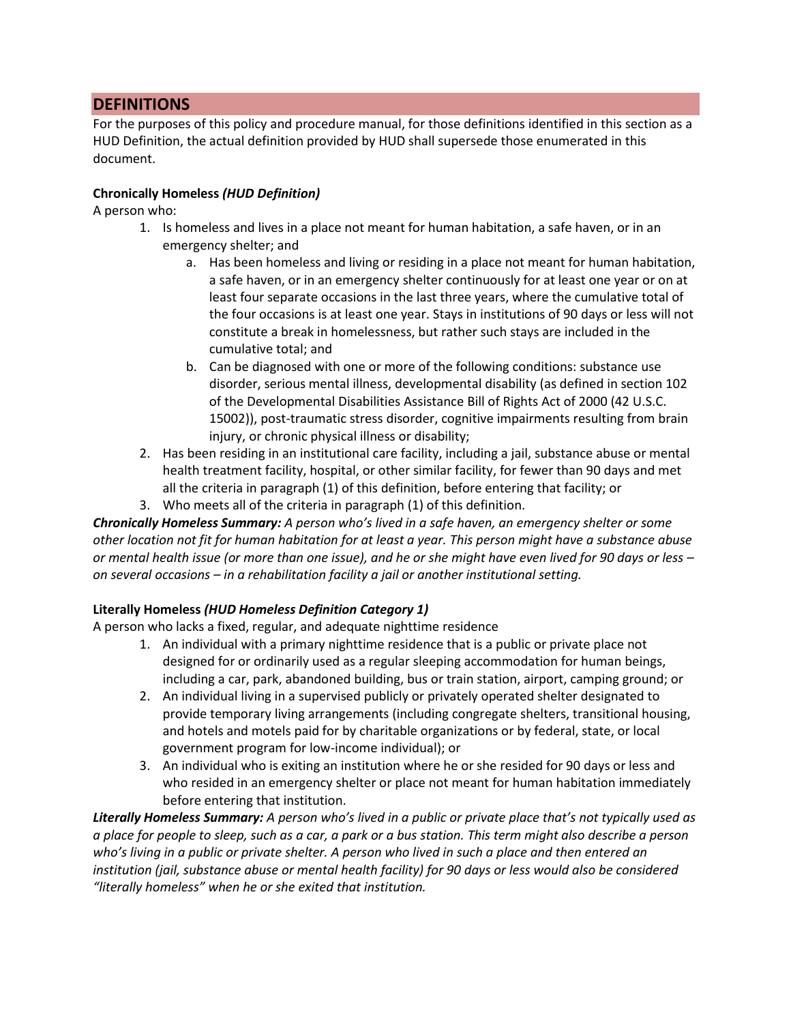# **DEFINITIONS**

For the purposes of this policy and procedure manual, for those definitions identified in this section as a HUD Definition, the actual definition provided by HUD shall supersede those enumerated in this document.

### **Chronically Homeless** *(HUD Definition)*

A person who:

- 1. Is homeless and lives in a place not meant for human habitation, a safe haven, or in an emergency shelter; and
	- a. Has been homeless and living or residing in a place not meant for human habitation, a safe haven, or in an emergency shelter continuously for at least one year or on at least four separate occasions in the last three years, where the cumulative total of the four occasions is at least one year. Stays in institutions of 90 days or less will not constitute a break in homelessness, but rather such stays are included in the cumulative total; and
	- b. Can be diagnosed with one or more of the following conditions: substance use disorder, serious mental illness, developmental disability (as defined in section 102 of the Developmental Disabilities Assistance Bill of Rights Act of 2000 (42 U.S.C. 15002)), post-traumatic stress disorder, cognitive impairments resulting from brain injury, or chronic physical illness or disability;
- 2. Has been residing in an institutional care facility, including a jail, substance abuse or mental health treatment facility, hospital, or other similar facility, for fewer than 90 days and met all the criteria in paragraph (1) of this definition, before entering that facility; or
- 3. Who meets all of the criteria in paragraph (1) of this definition.

*Chronically Homeless Summary: A person who's lived in a safe haven, an emergency shelter or some other location not fit for human habitation for at least a year. This person might have a substance abuse or mental health issue (or more than one issue), and he or she might have even lived for 90 days or less – on several occasions – in a rehabilitation facility a jail or another institutional setting.* 

# **Literally Homeless** *(HUD Homeless Definition Category 1)*

A person who lacks a fixed, regular, and adequate nighttime residence

- 1. An individual with a primary nighttime residence that is a public or private place not designed for or ordinarily used as a regular sleeping accommodation for human beings, including a car, park, abandoned building, bus or train station, airport, camping ground; or
- 2. An individual living in a supervised publicly or privately operated shelter designated to provide temporary living arrangements (including congregate shelters, transitional housing, and hotels and motels paid for by charitable organizations or by federal, state, or local government program for low-income individual); or
- 3. An individual who is exiting an institution where he or she resided for 90 days or less and who resided in an emergency shelter or place not meant for human habitation immediately before entering that institution.

*Literally Homeless Summary: A person who's lived in a public or private place that's not typically used as a place for people to sleep, such as a car, a park or a bus station. This term might also describe a person who's living in a public or private shelter. A person who lived in such a place and then entered an institution (jail, substance abuse or mental health facility) for 90 days or less would also be considered "literally homeless" when he or she exited that institution.*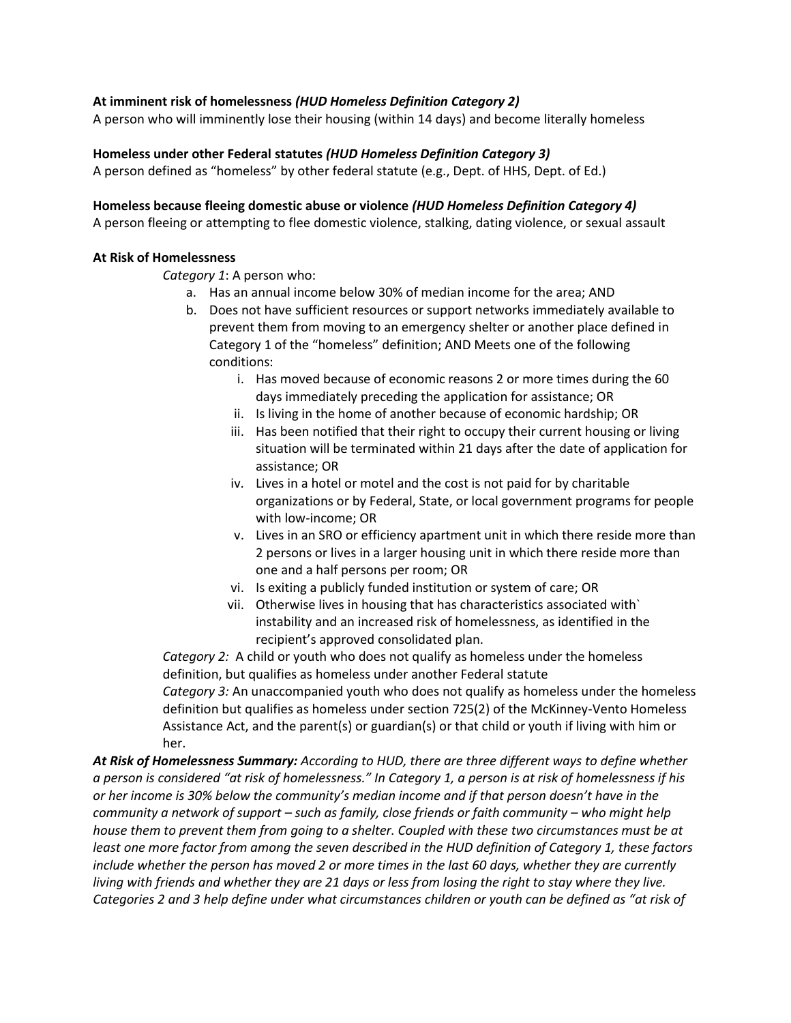#### **At imminent risk of homelessness** *(HUD Homeless Definition Category 2)*

A person who will imminently lose their housing (within 14 days) and become literally homeless

#### **Homeless under other Federal statutes** *(HUD Homeless Definition Category 3)*

A person defined as "homeless" by other federal statute (e.g., Dept. of HHS, Dept. of Ed.)

#### **Homeless because fleeing domestic abuse or violence** *(HUD Homeless Definition Category 4)*

A person fleeing or attempting to flee domestic violence, stalking, dating violence, or sexual assault

#### **At Risk of Homelessness**

*Category 1*: A person who:

- a. Has an annual income below 30% of median income for the area; AND
- b. Does not have sufficient resources or support networks immediately available to prevent them from moving to an emergency shelter or another place defined in Category 1 of the "homeless" definition; AND Meets one of the following conditions:
	- i. Has moved because of economic reasons 2 or more times during the 60 days immediately preceding the application for assistance; OR
	- ii. Is living in the home of another because of economic hardship; OR
	- iii. Has been notified that their right to occupy their current housing or living situation will be terminated within 21 days after the date of application for assistance; OR
	- iv. Lives in a hotel or motel and the cost is not paid for by charitable organizations or by Federal, State, or local government programs for people with low-income; OR
	- v. Lives in an SRO or efficiency apartment unit in which there reside more than 2 persons or lives in a larger housing unit in which there reside more than one and a half persons per room; OR
	- vi. Is exiting a publicly funded institution or system of care; OR
	- vii. Otherwise lives in housing that has characteristics associated with` instability and an increased risk of homelessness, as identified in the recipient's approved consolidated plan.

*Category 2:* A child or youth who does not qualify as homeless under the homeless definition, but qualifies as homeless under another Federal statute *Category 3:* An unaccompanied youth who does not qualify as homeless under the homeless definition but qualifies as homeless under section 725(2) of the McKinney-Vento Homeless Assistance Act, and the parent(s) or guardian(s) or that child or youth if living with him or her.

*At Risk of Homelessness Summary: According to HUD, there are three different ways to define whether a person is considered "at risk of homelessness." In Category 1, a person is at risk of homelessness if his or her income is 30% below the community's median income and if that person doesn't have in the community a network of support – such as family, close friends or faith community – who might help house them to prevent them from going to a shelter. Coupled with these two circumstances must be at least one more factor from among the seven described in the HUD definition of Category 1, these factors include whether the person has moved 2 or more times in the last 60 days, whether they are currently living with friends and whether they are 21 days or less from losing the right to stay where they live. Categories 2 and 3 help define under what circumstances children or youth can be defined as "at risk of*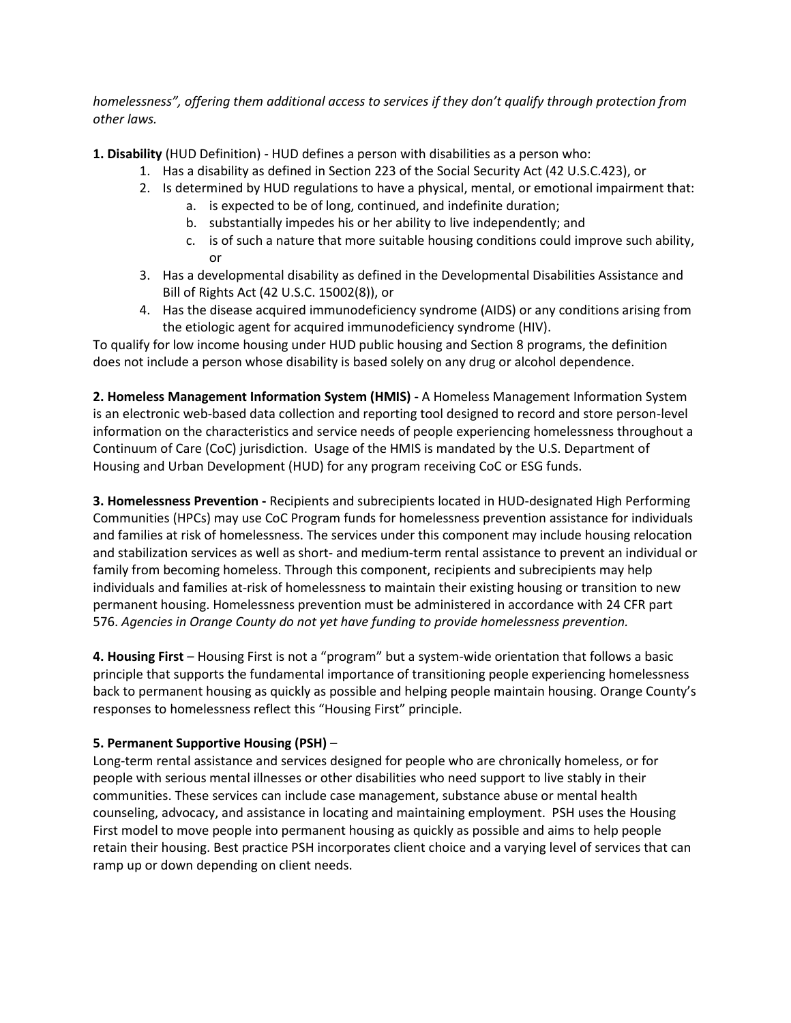## *homelessness", offering them additional access to services if they don't qualify through protection from other laws.*

**1. Disability** (HUD Definition) - HUD defines a person with disabilities as a person who:

- 1. Has a disability as defined in Section 223 of the Social Security Act (42 U.S.C.423), or
- 2. Is determined by HUD regulations to have a physical, mental, or emotional impairment that:
	- a. is expected to be of long, continued, and indefinite duration;
		- b. substantially impedes his or her ability to live independently; and
		- c. is of such a nature that more suitable housing conditions could improve such ability, or
- 3. Has a developmental disability as defined in the Developmental Disabilities Assistance and Bill of Rights Act (42 U.S.C. 15002(8)), or
- 4. Has the disease acquired immunodeficiency syndrome (AIDS) or any conditions arising from the etiologic agent for acquired immunodeficiency syndrome (HIV).

To qualify for low income housing under HUD public housing and Section 8 programs, the definition does not include a person whose disability is based solely on any drug or alcohol dependence.

**2. Homeless Management Information System (HMIS) -** A Homeless Management Information System is an electronic web-based data collection and reporting tool designed to record and store person-level information on the characteristics and service needs of people experiencing homelessness throughout a Continuum of Care (CoC) jurisdiction. Usage of the HMIS is mandated by the U.S. Department of Housing and Urban Development (HUD) for any program receiving CoC or ESG funds.

**3. Homelessness Prevention -** Recipients and subrecipients located in HUD-designated High Performing Communities (HPCs) may use CoC Program funds for homelessness prevention assistance for individuals and families at risk of homelessness. The services under this component may include housing relocation and stabilization services as well as short- and medium-term rental assistance to prevent an individual or family from becoming homeless. Through this component, recipients and subrecipients may help individuals and families at-risk of homelessness to maintain their existing housing or transition to new permanent housing. Homelessness prevention must be administered in accordance with 24 CFR part 576. *Agencies in Orange County do not yet have funding to provide homelessness prevention.*

**4. Housing First** – Housing First is not a "program" but a system-wide orientation that follows a basic principle that supports the fundamental importance of transitioning people experiencing homelessness back to permanent housing as quickly as possible and helping people maintain housing. Orange County's responses to homelessness reflect this "Housing First" principle.

# **5. Permanent Supportive Housing (PSH)** –

Long-term rental assistance and services designed for people who are chronically homeless, or for people with serious mental illnesses or other disabilities who need support to live stably in their communities. These services can include case management, substance abuse or mental health counseling, advocacy, and assistance in locating and maintaining employment. PSH uses the Housing First model to move people into permanent housing as quickly as possible and aims to help people retain their housing. Best practice PSH incorporates client choice and a varying level of services that can ramp up or down depending on client needs.